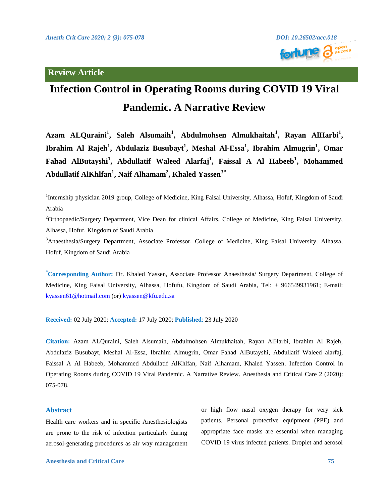

# **Infection Control in Operating Rooms during COVID 19 Viral Pandemic. A Narrative Review**

Azam ALQuraini<sup>1</sup>, Saleh Alsumaih<sup>1</sup>, Abdulmohsen Almukhaitah<sup>1</sup>, Rayan AlHarbi<sup>1</sup>, **Ibrahim Al Rajeh<sup>1</sup> , Abdulaziz Busubayt<sup>1</sup> , Meshal Al-Essa<sup>1</sup> , Ibrahim Almugrin<sup>1</sup> , Omar Fahad AlButayshi<sup>1</sup> , Abdullatif Waleed Alarfaj<sup>1</sup> , Faissal A Al Habeeb<sup>1</sup> , Mohammed Abdullatif AlKhlfan<sup>1</sup> , Naif Alhamam<sup>2</sup> , Khaled Yassen3\***

<sup>1</sup>Internship physician 2019 group, College of Medicine, King Faisal University, Alhassa, Hofuf, Kingdom of Saudi Arabia

<sup>2</sup>Orthopaedic/Surgery Department, Vice Dean for clinical Affairs, College of Medicine, King Faisal University, Alhassa, Hofuf, Kingdom of Saudi Arabia

<sup>3</sup>Anaesthesia/Surgery Department, Associate Professor, College of Medicine, King Faisal University, Alhassa, Hofuf, Kingdom of Saudi Arabia

**\*Corresponding Author:** Dr. Khaled Yassen, Associate Professor Anaesthesia/ Surgery Department, College of Medicine, King Faisal University, Alhassa, Hofufu, Kingdom of Saudi Arabia, Tel: + 966549931961; E-mail: [kyassen61@hotmail.com](mailto:kyassen61@hotmail.com) (or) [kyassen@kfu.edu.sa](mailto:kyassen@kfu.edu.sa)

**Received:** 02 July 2020; **Accepted:** 17 July 2020; **Published**: 23 July 2020

**Citation:** Azam ALQuraini, Saleh Alsumaih, Abdulmohsen Almukhaitah, Rayan AlHarbi, Ibrahim Al Rajeh, Abdulaziz Busubayt, Meshal Al-Essa, Ibrahim Almugrin, Omar Fahad AlButayshi, Abdullatif Waleed alarfaj, Faissal A Al Habeeb, Mohammed Abdullatif AlKhlfan, Naif Alhamam, Khaled Yassen. Infection Control in Operating Rooms during COVID 19 Viral Pandemic. A Narrative Review. Anesthesia and Critical Care 2 (2020): 075-078.

#### **Abstract**

Health care workers and in specific Anesthesiologists are prone to the risk of infection particularly during aerosol-generating procedures as air way management or high flow nasal oxygen therapy for very sick patients. Personal protective equipment (PPE) and appropriate face masks are essential when managing COVID 19 virus infected patients. Droplet and aerosol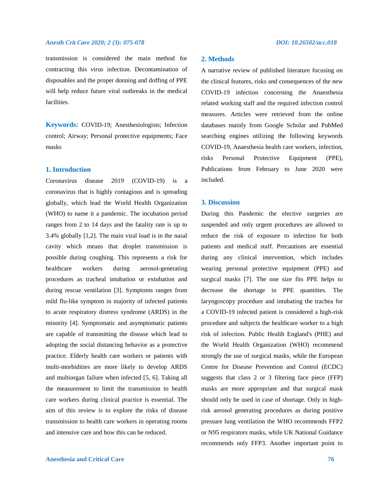#### *Anesth Crit Care 2020; 2 (3): 075-078 DOI: 10.26502/acc.018*

transmission is considered the main method for contracting this virus infection. Decontamination of disposables and the proper donning and doffing of PPE will help reduce future viral outbreaks in the medical facilities.

**Keywords:** COVID-19; Anesthesiologists; Infection control; Airway; Personal protective equipments; Face masks

### **1. Introduction**

Coronavirus disease 2019 (COVID-19) is a coronavirus that is highly contagious and is spreading globally, which lead the World Health Organization (WHO) to name it a pandemic. The incubation period ranges from 2 to 14 days and the fatality rate is up to 3.4% globally [1,2]. The main viral load is in the nasal cavity which means that droplet transmission is possible during coughing. This represents a risk for healthcare workers during aerosol-generating procedures as tracheal intubation or extubation and during rescue ventilation [3]. Symptoms ranges from mild flu-like symptom in majority of infected patients to acute respiratory distress syndrome (ARDS) in the minority [4]. Symptomatic and asymptomatic patients are capable of transmitting the disease which lead to adopting the social distancing behavior as a protective practice. Elderly health care workers or patients with multi-morbidities are more likely to develop ARDS and multiorgan failure when infected [5, 6]. Taking all the measurement to limit the transmission to health care workers during clinical practice is essential. The aim of this review is to explore the risks of disease transmission to health care workers in operating rooms and intensive care and how this can be reduced.

# **2. Methods**

A narrative review of published literature focusing on the clinical features, risks and consequences of the new COVID-19 infection concerning the Anaesthesia related working staff and the required infection control measures. Articles were retrieved from the online databases mainly from Google Scholar and PubMed searching engines utilizing the following keywords COVID-19, Anaesthesia health care workers, infection, risks Personal Protective Equipment (PPE), Publications from February to June 2020 were included.

### **3. Discussion**

During this Pandemic the elective surgeries are suspended and only urgent procedures are allowed to reduce the risk of exposure to infection for both patients and medical staff. Precautions are essential during any clinical intervention, which includes wearing personal protective equipment (PPE) and surgical masks [7]. The one size fits PPE helps to decrease the shortage in PPE quantities. The laryngoscopy procedure and intubating the trachea for a COVID-19 infected patient is considered a high-risk procedure and subjects the healthcare worker to a high risk of infection. Public Health England's (PHE) and the World Health Organization (WHO) recommend strongly the use of surgical masks, while the European Centre for Disease Prevention and Control (ECDC) suggests that class 2 or 3 filtering face piece (FFP) masks are more appropriate and that surgical mask should only be used in case of shortage. Only in highrisk aerosol generating procedures as during positive pressure lung ventilation the WHO recommends FFP2 or N95 respirators masks, while UK National Guidance recommends only FFP3. Another important point to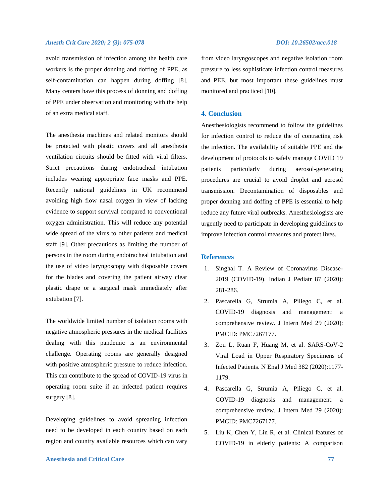### *Anesth Crit Care 2020; 2 (3): 075-078 DOI: 10.26502/acc.018*

avoid transmission of infection among the health care workers is the proper donning and doffing of PPE, as self-contamination can happen during doffing [8]. Many centers have this process of donning and doffing of PPE under observation and monitoring with the help of an extra medical staff.

The anesthesia machines and related monitors should be protected with plastic covers and all anesthesia ventilation circuits should be fitted with viral filters. Strict precautions during endotracheal intubation includes wearing appropriate face masks and PPE. Recently national guidelines in UK recommend avoiding high flow nasal oxygen in view of lacking evidence to support survival compared to conventional oxygen administration. This will reduce any potential wide spread of the virus to other patients and medical staff [9]. Other precautions as limiting the number of persons in the room during endotracheal intubation and the use of video laryngoscopy with disposable covers for the blades and covering the patient airway clear plastic drape or a surgical mask immediately after extubation [7].

The worldwide limited number of isolation rooms with negative atmospheric pressures in the medical facilities dealing with this pandemic is an environmental challenge. Operating rooms are generally designed with positive atmospheric pressure to reduce infection. This can contribute to the spread of COVID-19 virus in operating room suite if an infected patient requires surgery [8].

Developing guidelines to avoid spreading infection need to be developed in each country based on each region and country available resources which can vary

from video laryngoscopes and negative isolation room pressure to less sophisticate infection control measures and PEE, but most important these guidelines must monitored and practiced [10].

#### **4. Conclusion**

Anesthesiologists recommend to follow the guidelines for infection control to reduce the of contracting risk the infection. The availability of suitable PPE and the development of protocols to safely manage COVID 19 patients particularly during aerosol-generating procedures are crucial to avoid droplet and aerosol transmission. Decontamination of disposables and proper donning and doffing of PPE is essential to help reduce any future viral outbreaks. Anesthesiologists are urgently need to participate in developing guidelines to improve infection control measures and protect lives.

### **References**

- 1. Singhal T. A Review of Coronavirus Disease-2019 (COVID-19). Indian J Pediatr 87 (2020): 281-286.
- 2. Pascarella G, Strumia A, Piliego C, et al. COVID-19 diagnosis and management: a comprehensive review. J Intern Med 29 (2020): PMCID: PMC7267177.
- 3. Zou L, Ruan F, Huang M, et al. SARS-CoV-2 Viral Load in Upper Respiratory Specimens of Infected Patients. N Engl J Med 382 (2020):1177- 1179.
- 4. Pascarella G, Strumia A, Piliego C, et al. COVID-19 diagnosis and management: a comprehensive review. J Intern Med 29 (2020): PMCID: PMC7267177.
- 5. Liu K, Chen Y, Lin R, et al. Clinical features of COVID-19 in elderly patients: A comparison